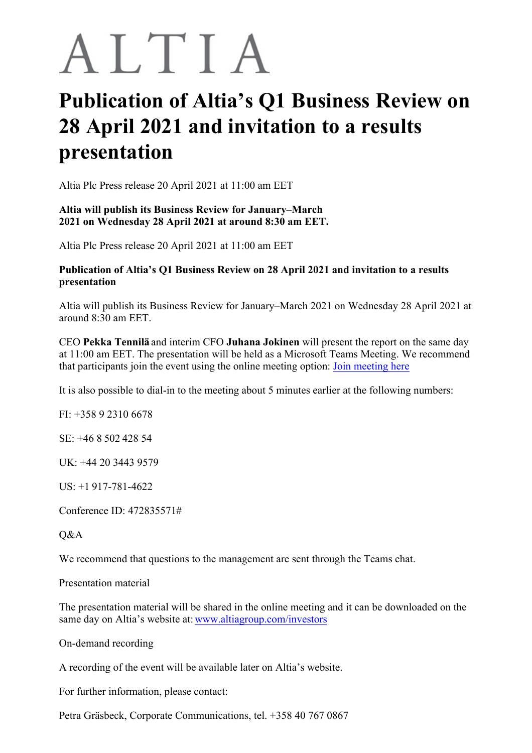## ALTIA

## **Publication of Altia's Q1 Business Review on 28 April 2021 and invitation to a results presentation**

Altia Plc Press release 20 April 2021 at 11:00 am EET

## **Altia will publish its Business Review for January–March 2021 on Wednesday 28 April 2021 at around 8:30 am EET.**

Altia Plc Press release 20 April 2021 at 11:00 am EET

## **Publication of Altia's Q1 Business Review on 28 April 2021 and invitation to a results presentation**

Altia will publish its Business Review for January–March 2021 on Wednesday 28 April 2021 at around 8:30 am EET.

CEO **Pekka Tennilä** and interim CFO **Juhana Jokinen** will present the report on the same day at 11:00 am EET. The presentation will be held as a Microsoft Teams Meeting. We recommend that participants join the event using the online meeting option: [Join meeting here](https://teams.microsoft.com/l/meetup-join/19%3ameeting_OWRiMDU1NTktYWM0NC00OTI1LTk0MGMtM2M1Y2UwOWVlOWU4%40thread.v2/0?context=%7b%22Tid%22%3a%22c32b30ff-5871-4a7d-a29e-6f63e6b0ebfd%22%2c%22Oid%22%3a%227c1bb489-b99b-4893-9758-ea420bca6d3d%22%7d)

It is also possible to dial-in to the meeting about 5 minutes earlier at the following numbers:

FI: +358 9 2310 6678

SE: +46 8 502 428 54

UK: +44 20 3443 9579

US: +1 917-781-4622

Conference ID: 472835571#

Q&A

We recommend that questions to the management are sent through the Teams chat.

Presentation material

The presentation material will be shared in the online meeting and it can be downloaded on the same day on Altia's website at: [www.altiagroup.com/investors](http://www.altiagroup.com/investors)

On-demand recording

A recording of the event will be available later on Altia's website.

For further information, please contact:

Petra Gräsbeck, Corporate Communications, tel. +358 40 767 0867